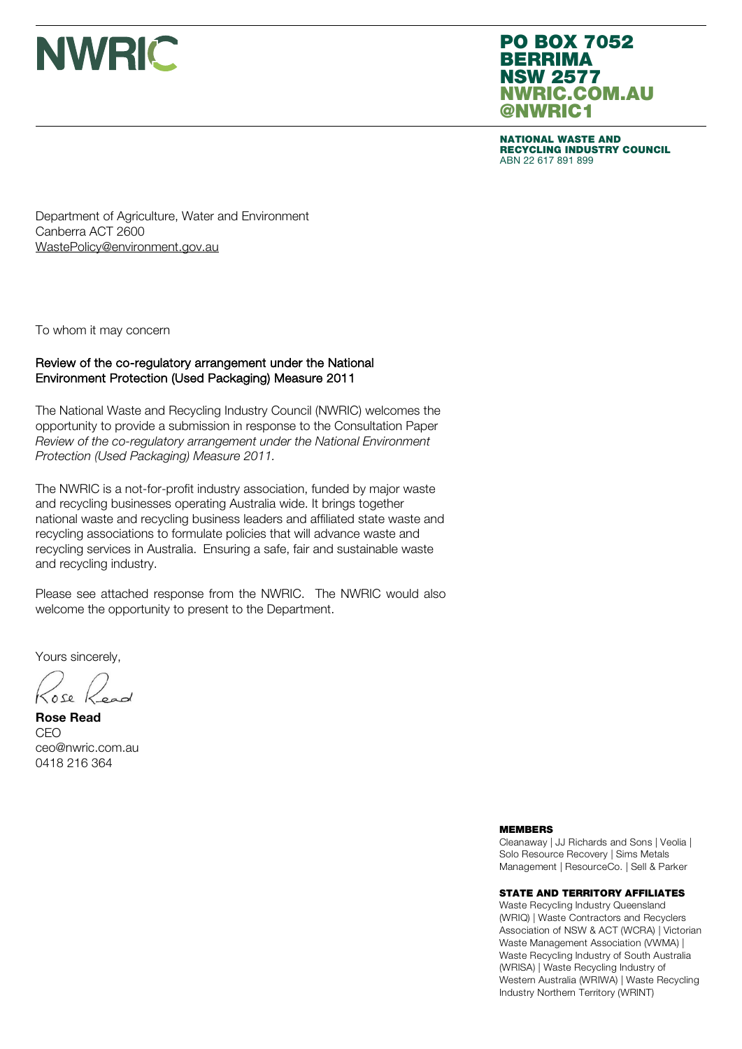

### PO BOX 7052 BERRIMA NSW 2577 NWRIC.COM.AU @NWRIC1

NATIONAL WASTE AND RECYCLING INDUSTRY COUNCIL ABN 22 617 891 899

Department of Agriculture, Water and Environment Canberra ACT 2600 WastePolicy@environment.gov.au

To whom it may concern

#### Review of the co-regulatory arrangement under the National Environment Protection (Used Packaging) Measure 2011

The National Waste and Recycling Industry Council (NWRIC) welcomes the opportunity to provide a submission in response to the Consultation Paper *Review of the co-regulatory arrangement under the National Environment Protection (Used Packaging) Measure 2011.*

The NWRIC is a not-for-profit industry association, funded by major waste and recycling businesses operating Australia wide. It brings together national waste and recycling business leaders and affiliated state waste and recycling associations to formulate policies that will advance waste and recycling services in Australia. Ensuring a safe, fair and sustainable waste and recycling industry.

Please see attached response from the NWRIC. The NWRIC would also welcome the opportunity to present to the Department.

Yours sincerely,

 $05e$ 

Rose Read C<sub>EO</sub> ceo@nwric.com.au 0418 216 364

MEMBERS

Cleanaway | JJ Richards and Sons | Veolia | Solo Resource Recovery | Sims Metals Management | ResourceCo. | Sell & Parker

#### STATE AND TERRITORY AFFILIATES

Waste Recycling Industry Queensland (WRIQ) | Waste Contractors and Recyclers Association of NSW & ACT (WCRA) | Victorian Waste Management Association (VWMA) | Waste Recycling Industry of South Australia (WRISA) | Waste Recycling Industry of Western Australia (WRIWA) | Waste Recycling Industry Northern Territory (WRINT)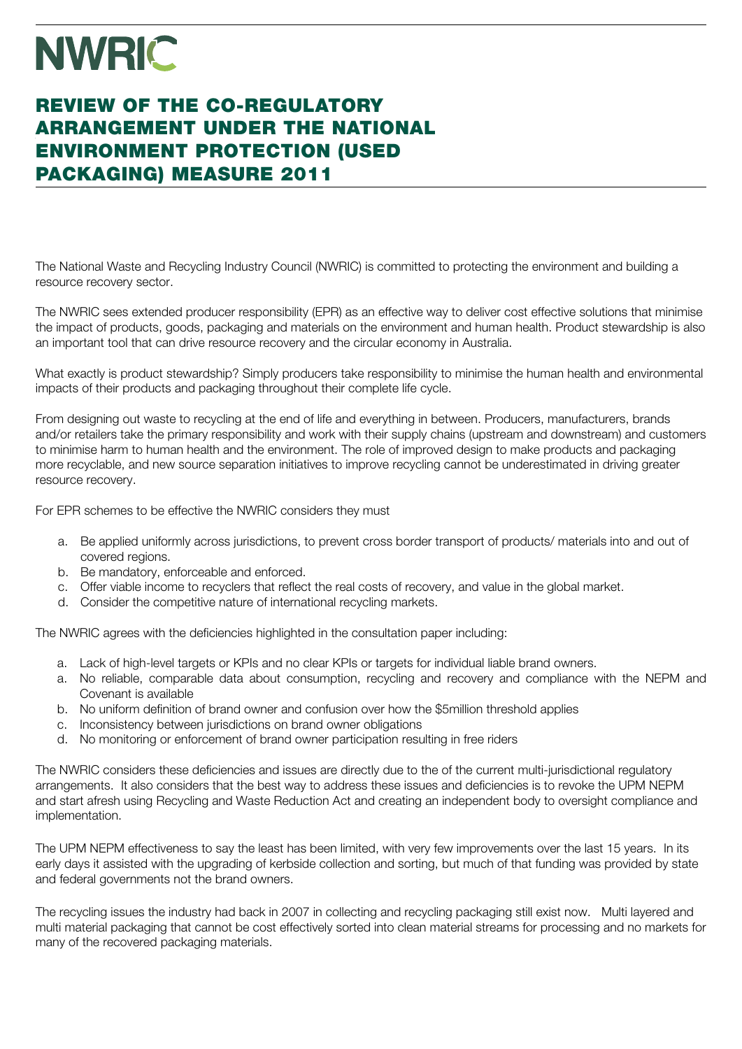# **NWRIC**

## REVIEW OF THE CO-REGULATORY REVIEW OF THE CO-REGULATORY ARRANGEMENT UNDER THE NATIONAL ARRANGEMENT UNDER THE NATIONAL ENVIRONMENT PROTECTION (USED ENVIRONMENT PROTECTION (USED PACKAGING) MEASURE 2011 PACKAGING) MEASURE 2011

The National Waste and Recycling Industry Council (NWRIC) is committed to protecting the environment and building a resource recovery sector.

The NWRIC sees extended producer responsibility (EPR) as an effective way to deliver cost effective solutions that minimise the impact of products, goods, packaging and materials on the environment and human health. Product stewardship is also an important tool that can drive resource recovery and the circular economy in Australia.

What exactly is product stewardship? Simply producers take responsibility to minimise the human health and environmental impacts of their products and packaging throughout their complete life cycle.

From designing out waste to recycling at the end of life and everything in between. Producers, manufacturers, brands and/or retailers take the primary responsibility and work with their supply chains (upstream and downstream) and customers to minimise harm to human health and the environment. The role of improved design to make products and packaging more recyclable, and new source separation initiatives to improve recycling cannot be underestimated in driving greater resource recovery.

For EPR schemes to be effective the NWRIC considers they must

- a. Be applied uniformly across jurisdictions, to prevent cross border transport of products/ materials into and out of covered regions.
- b. Be mandatory, enforceable and enforced.
- c. Offer viable income to recyclers that reflect the real costs of recovery, and value in the global market.
- d. Consider the competitive nature of international recycling markets.

The NWRIC agrees with the deficiencies highlighted in the consultation paper including:

- a. Lack of high-level targets or KPIs and no clear KPIs or targets for individual liable brand owners.
- a. No reliable, comparable data about consumption, recycling and recovery and compliance with the NEPM and Covenant is available
- b. No uniform definition of brand owner and confusion over how the \$5million threshold applies
- c. Inconsistency between jurisdictions on brand owner obligations
- d. No monitoring or enforcement of brand owner participation resulting in free riders

The NWRIC considers these deficiencies and issues are directly due to the of the current multi-jurisdictional regulatory arrangements. It also considers that the best way to address these issues and deficiencies is to revoke the UPM NEPM and start afresh using Recycling and Waste Reduction Act and creating an independent body to oversight compliance and implementation.

The UPM NEPM effectiveness to say the least has been limited, with very few improvements over the last 15 years. In its early days it assisted with the upgrading of kerbside collection and sorting, but much of that funding was provided by state and federal governments not the brand owners.

The recycling issues the industry had back in 2007 in collecting and recycling packaging still exist now. Multi layered and multi material packaging that cannot be cost effectively sorted into clean material streams for processing and no markets for many of the recovered packaging materials.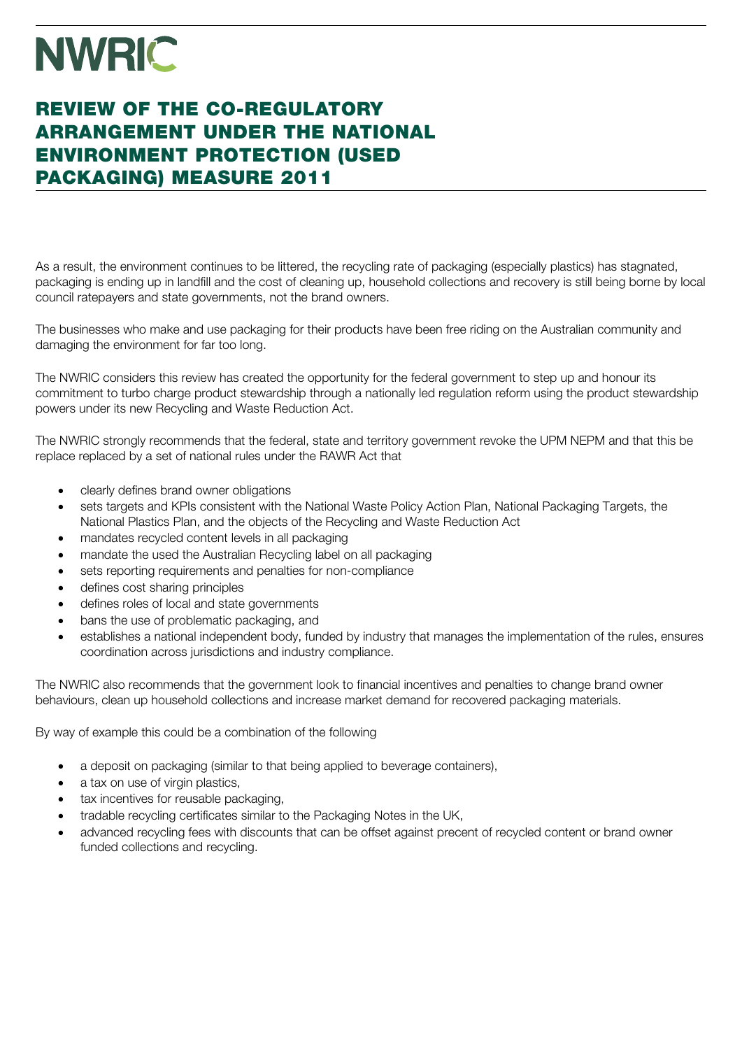# **NWRIC**

## REVIEW OF THE CO-REGULATORY ARRANGEMENT UNDER THE NATIONAL ENVIRONMENT PROTECTION (USED PACKAGING) MEASURE 2011

As a result, the environment continues to be littered, the recycling rate of packaging (especially plastics) has stagnated, packaging is ending up in landfill and the cost of cleaning up, household collections and recovery is still being borne by local council ratepayers and state governments, not the brand owners.

The businesses who make and use packaging for their products have been free riding on the Australian community and damaging the environment for far too long.

The NWRIC considers this review has created the opportunity for the federal government to step up and honour its commitment to turbo charge product stewardship through a nationally led regulation reform using the product stewardship powers under its new Recycling and Waste Reduction Act.

The NWRIC strongly recommends that the federal, state and territory government revoke the UPM NEPM and that this be replace replaced by a set of national rules under the RAWR Act that

- clearly defines brand owner obligations
- sets targets and KPIs consistent with the National Waste Policy Action Plan, National Packaging Targets, the National Plastics Plan, and the objects of the Recycling and Waste Reduction Act
- mandates recycled content levels in all packaging
- mandate the used the Australian Recycling label on all packaging
- sets reporting requirements and penalties for non-compliance
- defines cost sharing principles
- defines roles of local and state governments
- bans the use of problematic packaging, and
- establishes a national independent body, funded by industry that manages the implementation of the rules, ensures coordination across jurisdictions and industry compliance.

The NWRIC also recommends that the government look to financial incentives and penalties to change brand owner behaviours, clean up household collections and increase market demand for recovered packaging materials.

By way of example this could be a combination of the following

- a deposit on packaging (similar to that being applied to beverage containers),
- a tax on use of virgin plastics,
- tax incentives for reusable packaging,
- tradable recycling certificates similar to the Packaging Notes in the UK,
- advanced recycling fees with discounts that can be offset against precent of recycled content or brand owner funded collections and recycling.